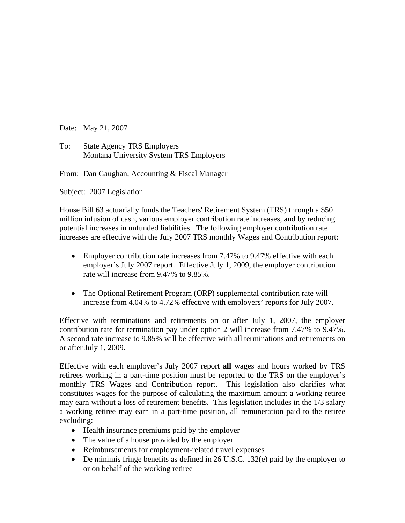Date: May 21, 2007

To: State Agency TRS Employers Montana University System TRS Employers

From: Dan Gaughan, Accounting & Fiscal Manager

Subject: 2007 Legislation

House Bill 63 actuarially funds the Teachers' Retirement System (TRS) through a \$50 million infusion of cash, various employer contribution rate increases, and by reducing potential increases in unfunded liabilities. The following employer contribution rate increases are effective with the July 2007 TRS monthly Wages and Contribution report:

- Employer contribution rate increases from 7.47% to 9.47% effective with each employer's July 2007 report. Effective July 1, 2009, the employer contribution rate will increase from 9.47% to 9.85%.
- The Optional Retirement Program (ORP) supplemental contribution rate will increase from 4.04% to 4.72% effective with employers' reports for July 2007.

Effective with terminations and retirements on or after July 1, 2007, the employer contribution rate for termination pay under option 2 will increase from 7.47% to 9.47%. A second rate increase to 9.85% will be effective with all terminations and retirements on or after July 1, 2009.

Effective with each employer's July 2007 report **all** wages and hours worked by TRS retirees working in a part-time position must be reported to the TRS on the employer's monthly TRS Wages and Contribution report. This legislation also clarifies what constitutes wages for the purpose of calculating the maximum amount a working retiree may earn without a loss of retirement benefits. This legislation includes in the 1/3 salary a working retiree may earn in a part-time position, all remuneration paid to the retiree excluding:

- Health insurance premiums paid by the employer
- The value of a house provided by the employer
- Reimbursements for employment-related travel expenses
- De minimis fringe benefits as defined in 26 U.S.C. 132(e) paid by the employer to or on behalf of the working retiree